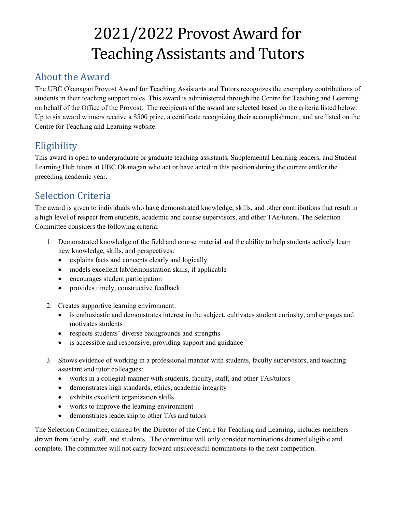# 2021/2022 Provost Award for Teaching Assistants and Tutors

## About the Award

The UBC Okanagan Provost Award for Teaching Assistants and Tutors recognizes the exemplary contributions of students in their teaching support roles. This award is administered through the Centre for Teaching and Learning on behalf of the Office of the Provost. The recipients of the award are selected based on the criteria listed below. Up to six award winners receive a \$500 prize, a certificate recognizing their accomplishment, and are listed on the Centre for Teaching and Learning website.

# **Eligibility**

This award is open to undergraduate or graduate teaching assistants, Supplemental Learning leaders, and Student Learning Hub tutors at UBC Okanagan who act or have acted in this position during the current and/or the preceding academic year.

# Selection Criteria

The award is given to individuals who have demonstrated knowledge, skills, and other contributions that result in a high level of respect from students, academic and course supervisors, and other TAs/tutors. The Selection Committee considers the following criteria:

- 1. Demonstrated knowledge of the field and course material and the ability to help students actively learn new knowledge, skills, and perspectives:
	- explains facts and concepts clearly and logically
	- models excellent lab/demonstration skills, if applicable
	- encourages student participation
	- provides timely, constructive feedback
- 2. Creates supportive learning environment:
	- is enthusiastic and demonstrates interest in the subject, cultivates student curiosity, and engages and motivates students
	- respects students' diverse backgrounds and strengths
	- is accessible and responsive, providing support and guidance
- 3. Shows evidence of working in a professional manner with students, faculty supervisors, and teaching assistant and tutor colleagues:
	- works in a collegial manner with students, faculty, staff, and other TAs/tutors
	- demonstrates high standards, ethics, academic integrity
	- exhibits excellent organization skills
	- works to improve the learning environment
	- demonstrates leadership to other TAs and tutors

The Selection Committee, chaired by the Director of the Centre for Teaching and Learning, includes members drawn from faculty, staff, and students. The committee will only consider nominations deemed eligible and complete. The committee will not carry forward unsuccessful nominations to the next competition.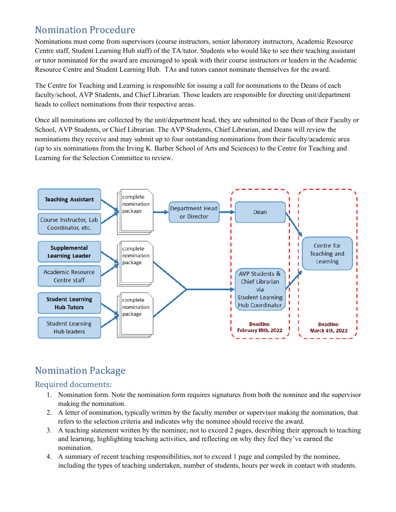## Nomination Procedure

Nominations must come from supervisors (course instructors, senior laboratory instructors, Academic Resource Centre staff, Student Learning Hub staff) of the TA/tutor. Students who would like to see their teaching assistant or tutor nominated for the award are encouraged to speak with their course instructors or leaders in the Academic Resource Centre and Student Learning Hub. TAs and tutors cannot nominate themselves for the award.

The Centre for Teaching and Learning is responsible for issuing a call for nominations to the Deans of each faculty/school, AVP Students, and Chief Librarian. Those leaders are responsible for directing unit/department heads to collect nominations from their respective areas.

Once all nominations are collected by the unit/department head, they are submitted to the Dean of their Faculty or School, AVP Students, or Chief Librarian. The AVP Students, Chief Librarian, and Deans will review the nominations they receive and may submit up to four outstanding nominations from their faculty/academic area (up to six nominations from the Irving K. Barber School of Arts and Sciences) to the Centre for Teaching and Learning for the Selection Committee to review.



# Nomination Package

## Required documents:

- 1. Nomination form. Note the nomination form requires signatures from both the nominee and the supervisor making the nomination.
- 2. A letter of nomination, typically written by the faculty member or supervisor making the nomination, that refers to the selection criteria and indicates why the nominee should receive the award.
- 3. A teaching statement written by the nominee, not to exceed 2 pages, describing their approach to teaching and learning, highlighting teaching activities, and reflecting on why they feel they've earned the nomination.
- 4. A summary of recent teaching responsibilities, not to exceed 1 page and compiled by the nominee, including the types of teaching undertaken, number of students, hours per week in contact with students.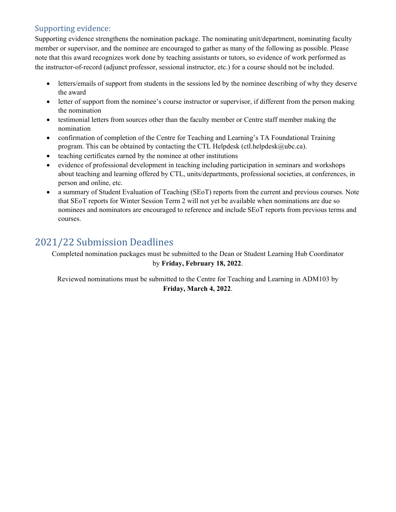## Supporting evidence:

Supporting evidence strengthens the nomination package. The nominating unit/department, nominating faculty member or supervisor, and the nominee are encouraged to gather as many of the following as possible. Please note that this award recognizes work done by teaching assistants or tutors, so evidence of work performed as the instructor-of-record (adjunct professor, sessional instructor, etc.) for a course should not be included.

- letters/emails of support from students in the sessions led by the nominee describing of why they deserve the award
- letter of support from the nominee's course instructor or supervisor, if different from the person making the nomination
- testimonial letters from sources other than the faculty member or Centre staff member making the nomination
- confirmation of completion of the Centre for Teaching and Learning's TA Foundational Training program. This can be obtained by contacting the CTL Helpdesk (ctl.helpdesk $@$ ubc.ca).
- teaching certificates earned by the nominee at other institutions
- evidence of professional development in teaching including participation in seminars and workshops about teaching and learning offered by CTL, units/departments, professional societies, at conferences, in person and online, etc.
- a summary of Student Evaluation of Teaching (SEoT) reports from the current and previous courses. Note that SEoT reports for Winter Session Term 2 will not yet be available when nominations are due so nominees and nominators are encouraged to reference and include SEoT reports from previous terms and courses.

## 2021/22 Submission Deadlines

Completed nomination packages must be submitted to the Dean or Student Learning Hub Coordinator by **Friday, February 18, 2022**.

Reviewed nominations must be submitted to the Centre for Teaching and Learning in ADM103 by **Friday, March 4, 2022**.